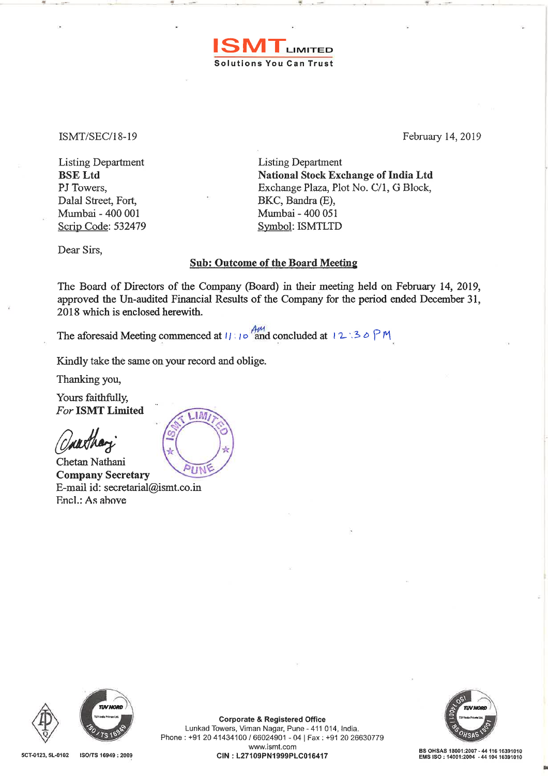ISMT/SEC/18-19 February 14, 2019

 $\mathbf{r}$ 

Listing Department Listing Department BSE Ltd PJ Towers, Dalal Street, Fort, Mwnbai - 400 001 Scrip Code: 532479

National Stock Exchange of India Ltd Exchange Plaza, Plot No. C/1, G Block, BKC, Bandra (E), Mumbai - 400 051 Symbol: ISMTLTD

Dear Sirs,

## Sub: Outcome of the Board Meeting

**ISMT** LIMITED

Solutions You Can Trust

The Board of Directors of the Company (Board) in their meeting held on February 14, 2019, approved the Un-audited Financial Results of the Company for the period ended December 31, 2018 which is enclosed herewith.

The aforesaid Meeting commenced at  $11 : 10^{4}$  and concluded at  $12 : 30 P M$ 

Kindly take the same on your record and oblige.

Thanking you,

Yours faithfully, *For* ISMT Limited

alltha

Chetan Nathani Company Secretary E-mail id: secretarial@ismt.co.in F.ncl.: As ahove







•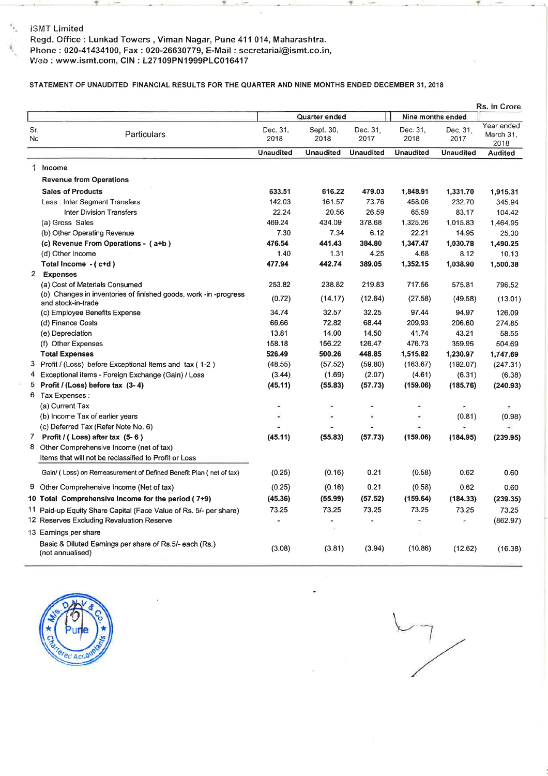### . . lSMT Limited

Ý.

Regd. Office: Lunkad Towers, Viman Nagar, Pune 411 014, Maharashtra. Phone: 020-41434100, Fax: 020-26630779, E-Mail: secretarial@ismt.co.in, 1 Neb: www.ismt.com, CIN: L27109PN1999PLC016417

## STATEMENT OF UNAUDITED FINANCIAL RESULTS FOR THE QUARTER AND NINE MONTHS ENDED DECEMBER 31,2018

|                       |                                                                                        |                  |                   |                  |                          |                  | Rs. in Crore                    |
|-----------------------|----------------------------------------------------------------------------------------|------------------|-------------------|------------------|--------------------------|------------------|---------------------------------|
|                       |                                                                                        |                  | Quarter ended     |                  | Nine months ended        |                  |                                 |
| Sr.<br>No             | Particulars                                                                            | Dec. 31.<br>2018 | Sept. 30,<br>2018 | Dec. 31.<br>2017 | Dec. 31.<br>2018         | Dec. 31,<br>2017 | Year ended<br>March 31,<br>2018 |
|                       |                                                                                        | <b>Unaudited</b> | <b>Unaudited</b>  | <b>Unaudited</b> | <b>Unaudited</b>         | <b>Unaudited</b> | <b>Audited</b>                  |
| 1 Income              |                                                                                        |                  |                   |                  |                          |                  |                                 |
|                       | <b>Revenue from Operations</b>                                                         |                  |                   |                  |                          |                  |                                 |
|                       | <b>Sales of Products</b>                                                               | 633.51           | 616.22            | 479.03           | 1,848.91                 | 1,331.70         | 1,915.31                        |
|                       | Less : Inter Segment Transfers                                                         | 142.03           | 161.57            | 73.76            | 458.06                   | 232.70           | 345.94                          |
|                       | <b>Inter Division Transfers</b>                                                        | 22.24            | 20.56             | 26.59            | 65.59                    | 83.17            | 104.42                          |
|                       | (a) Gross Sales                                                                        | 469.24           | 434.09            | 378.68           | 1,325.26                 | 1,015.83         | 1,464.95                        |
|                       | (b) Other Operating Revenue                                                            | 7.30             | 7.34              | 6.12             | 22.21                    | 14.95            | 25.30                           |
|                       | (c) Revenue From Operations - (a+b)                                                    | 476.54           | 441.43            | 384.80           | 1,347.47                 | 1,030.78         | 1,490.25                        |
|                       | (d) Other Income                                                                       | 1.40             | 1.31              | 4.25             | 4.68                     | 8.12             | 10.13                           |
|                       | Total Income - (c+d)                                                                   | 477.94           | 442.74            | 389,05           | 1,352.15                 | 1,038.90         | 1,500.38                        |
| 2 Expenses            |                                                                                        |                  |                   |                  |                          |                  |                                 |
|                       | (a) Cost of Materials Consumed                                                         | 253.82           | 238.82            | 219.83           | 717.56                   | 575.81           | 796.52                          |
|                       | (b) Changes in inventories of finished goods, work -in -progress<br>and stock-in-trade | (0.72)           | (14.17)           | (12.64)          | (27.58)                  | (49.58)          | (13.01)                         |
|                       | (c) Employee Benefits Expense                                                          | 34.74            | 32.57             | 32.25            | 97.44                    | 94.97            | 126.09                          |
|                       | (d) Finance Costs                                                                      | 66.66            | 72.82             | 68.44            | 209.93                   | 206.60           | 274.85                          |
| (e) Depreciation      |                                                                                        | 13.81            | 14.00             | 14.50            | 41.74                    | 43.21            | 58.55                           |
|                       | (f) Other Expenses                                                                     | 158.18           | 156.22            | 126.47           | 476.73                   | 359.96           | 504.69                          |
| <b>Total Expenses</b> |                                                                                        | 526.49           | 500.26            | 448.85           | 1,515.82                 | 1,230.97         | 1,747.69                        |
|                       | 3 Profit / (Loss) before Exceptional items and tax (1-2)                               | (48.55)          | (57.52)           | (59.80)          | (163.67)                 | (192.07)         | (247.31)                        |
|                       | 4 Exceptional items - Foreign Exchange (Gain) / Loss                                   | (3.44)           | (1.69)            | (2.07)           | (4.61)                   | (6.31)           | (6.38)                          |
|                       | 5 Profit / (Loss) before tax (3-4)                                                     | (45.11)          | (55.83)           | (57.73)          | (159.06)                 | (185.76)         | (240.93)                        |
| 6 Tax Expenses :      |                                                                                        |                  |                   |                  |                          |                  |                                 |
| (a) Current Tax       |                                                                                        |                  | ٠                 |                  | $\overline{\phantom{a}}$ |                  |                                 |
|                       | (b) Income Tax of earlier years                                                        |                  |                   |                  | ٠                        | (0.81)           | (0.98)                          |
|                       | (c) Deferred Tax (Refer Note No. 6)                                                    |                  |                   |                  |                          |                  |                                 |
|                       | 7 Profit / (Loss) after tax (5-6)                                                      | (45.11)          | (55.83)           | (57.73)          | (159.06)                 | (184.95)         | (239.95)                        |
|                       | 8 Other Comprehensive Income (net of tax)                                              |                  |                   |                  |                          |                  |                                 |
|                       | Items that will not be reclassified to Profit or Loss                                  |                  |                   |                  |                          |                  |                                 |
|                       | Gain/ (Loss) on Remeasurement of Defined Benefit Plan (net of tax)                     | (0.25)           | (0.16)            | 0.21             | (0.58)                   | 0.62             | 0.60                            |
|                       | 9 Other Comprehensive Income (Net of tax)                                              | (0.25)           | (0.16)            | 0.21             | (0.58)                   | 0.62             | 0.60                            |
|                       | 10 Total Comprehensive Income for the period (7+9)                                     | (45.36)          | (55.99)           | (57.52)          | (159.64)                 | (184.33)         | (239.35)                        |
|                       | 11 Paid-up Equity Share Capital (Face Value of Rs. 5/- per share)                      | 73.25            | 73.25             | 73.25            | 73.25                    | 73.25            | 73.25                           |
|                       | 12 Reserves Excluding Revaluation Reserve                                              | ٠                | ۰<br>$\mathbf{A}$ | ۰                | ۰                        |                  | (862.97)                        |
| 13 Earnings per share |                                                                                        |                  |                   |                  |                          |                  |                                 |
| (not annualised)      | Basic & Diluted Earnings per share of Rs.5/- each (Rs.)                                | (3.08)           | (3.81)            | (3.94)           | (10.86)                  | (12.62)          | (16.38)                         |



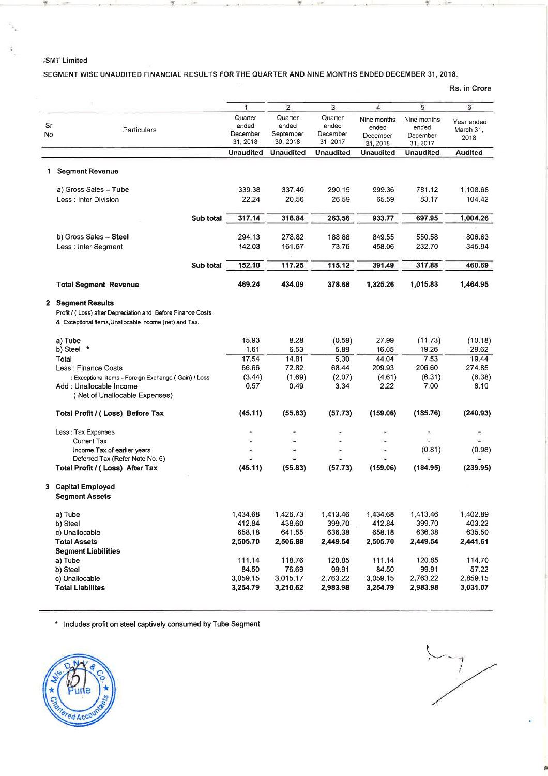#### ISMT Limited

伴

漬

### SEGMENT WISE UNAUDITED FINANCIAL RESULTS FOR THE QUARTER AND NINE MONTHS ENDED DECEMBER 31, 2018.

Rs. in Crore

|                                             |                                                             | 1                    | $\overline{2}$        | 3                    | 4           | 5           | 6              |
|---------------------------------------------|-------------------------------------------------------------|----------------------|-----------------------|----------------------|-------------|-------------|----------------|
|                                             |                                                             |                      |                       |                      |             |             |                |
|                                             |                                                             | Quarter              | Quarter               | Quarter              | Nine months | Nine months | Year ended     |
| Sr                                          | Particulars                                                 | ended                | ended                 | ended                | ended       | ended       | March 31,      |
| No                                          |                                                             | December<br>31, 2018 | September<br>30, 2018 | December<br>31, 2017 | December    | December    | 2018           |
|                                             |                                                             | <b>Unaudited</b>     | <b>Unaudited</b>      | <b>Unaudited</b>     | 31, 2018    | 31, 2017    | <b>Audited</b> |
|                                             |                                                             |                      |                       |                      | Unaudited   | Unaudited   |                |
| <b>Segment Revenue</b><br>1.                |                                                             |                      |                       |                      |             |             |                |
| a) Gross Sales - Tube                       |                                                             | 339.38               | 337.40                | 290.15               | 999.36      | 781.12      | 1,108.68       |
| Less: Inter Division                        |                                                             | 22.24                | 20.56                 | 26.59                | 65.59       | 83.17       | 104.42         |
|                                             |                                                             |                      |                       |                      |             |             |                |
|                                             | Sub total                                                   | 317.14               | 316.84                | 263.56               | 933.77      | 697.95      | 1,004.26       |
| b) Gross Sales - Steel                      |                                                             | 294.13               | 278.82                | 188.88               | 849.55      | 550.58      | 806.63         |
| Less: Inter Segment                         |                                                             | 142.03               | 161.57                | 73.76                | 458.06      | 232.70      | 345.94         |
|                                             |                                                             | 152.10               | 117.25                | 115.12               | 391.49      | 317.88      | 460.69         |
|                                             | Sub total                                                   |                      |                       |                      |             |             |                |
| <b>Total Segment Revenue</b>                |                                                             | 469.24               | 434.09                | 378.68               | 1,325.26    | 1,015.83    | 1,464.95       |
| 2 Segment Results                           |                                                             |                      |                       |                      |             |             |                |
|                                             | Profit / (Loss) after Depreciation and Before Finance Costs |                      |                       |                      |             |             |                |
|                                             | & Exceptional items, Unallocable income (net) and Tax.      |                      |                       |                      |             |             |                |
| a) Tube                                     |                                                             | 15.93                | 8.28                  | (0.59)               | 27.99       | (11.73)     | (10.18)        |
| b) Steel *                                  |                                                             | 1.61                 | 6.53                  | 5.89                 | 16.05       | 19.26       | 29.62          |
| Total                                       |                                                             | 17.54                | 14.81                 | 5.30                 | 44.04       | 7.53        | 19.44          |
| Less : Finance Costs                        |                                                             | 66.66                | 72.82                 | 68.44                | 209.93      | 206.60      | 274.85         |
|                                             | : Exceptional items - Foreign Exchange (Gain) / Loss        | (3.44)               | (1.69)                | (2.07)               | (4.61)      | (6.31)      | (6.38)         |
| Add: Unallocable Income                     |                                                             | 0.57                 | 0.49                  | 3.34                 | 2.22        | 7.00        | 8.10           |
|                                             | (Net of Unallocable Expenses)                               |                      |                       |                      |             |             |                |
| Total Profit / (Loss) Before Tax            |                                                             | (45.11)              | (55.83)               | (57.73)              | (159.06)    | (185.76)    | (240.93)       |
| Less: Tax Expenses                          |                                                             |                      |                       |                      |             |             |                |
| <b>Current Tax</b>                          |                                                             |                      |                       | u,                   |             |             |                |
| Income Tax of earlier years                 |                                                             |                      |                       | ÷                    |             | (0.81)      | (0.98)         |
|                                             | Deferred Tax (Refer Note No. 6)                             |                      |                       |                      |             |             |                |
| Total Profit / (Loss) After Tax             |                                                             | (45.11)              | (55.83)               | (57.73)              | (159.06)    | (184.95)    | (239.95)       |
| 3 Capital Employed<br><b>Segment Assets</b> |                                                             |                      |                       |                      |             |             |                |
| a) Tube                                     |                                                             | 1,434.68             | 1,426.73              | 1,413.46             | 1,434.68    | 1,413.46    | 1,402.89       |
| b) Steel                                    |                                                             | 412.84               | 438.60                | 399.70               | 412.84      | 399.70      | 403.22         |
| c) Unallocable                              |                                                             | 658.18               | 641.55                | 636.38               | 658.18      | 636.38      | 635.50         |
| <b>Total Assets</b>                         |                                                             | 2,505.70             | 2,506.88              | 2,449.54             | 2,505.70    | 2,449.54    | 2,441.61       |
| <b>Segment Liabilities</b>                  |                                                             |                      |                       |                      |             |             |                |
| a) Tube                                     |                                                             | 111.14               | 118.76                | 120.85               | 111.14      | 120.85      | 114.70         |
| b) Steel                                    |                                                             | 84.50                | 76.69                 | 99.91                | 84.50       | 99.91       | 57.22          |
| c) Unallocable                              |                                                             | 3,059.15             | 3,015.17              | 2,763.22             | 3,059.15    | 2,763.22    | 2,859.15       |
| <b>Total Liabilites</b>                     |                                                             | 3,254.79             | 3,210.62              | 2,983.98             | 3,254.79    | 2,983.98    | 3,031.07       |

\* Includes profit on steel captively consumed by Tube Segment



 $\frac{1}{\sqrt{2}}$ 

ė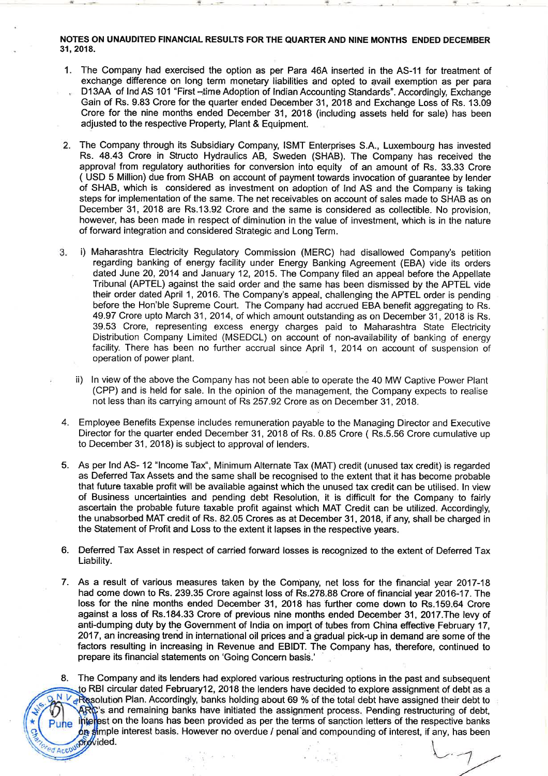NOTES ON UNAUDITED FINANCIAL RESULTS FOR THE QUARTER AND NINE MONTHS ENDED DECEMBER 31, 2018.

- 1. The Company had exercised the option as per Para 46A inserted in the AS-11 for treatment of exchange difference on long term monetary liabilities and opted to avail exemption as per para D13AA of Ind AS 101 "First --time Adoption of Indian Accounting Standards". Accordingly, Exchange Gain of Rs. 9.83 Crore for the quarter ended December 31, 2018 and Exchange Loss of Rs. 13.09 Crore for the nine months ended December 31, 2018 {including assets held for sale) has been adjusted to the respective Property, Plant & Equipment.
- 2. The Company through its Subsidiary Company, ISMT Enterprises S.A., Luxembourg has invested Rs. 48.43 Crore in Structo Hydraulics AB, Sweden {SHAB). The Company has received the approval from regulatory authorities for conversion into equity of an amount of Rs. 33.33 Crore { USD 5 Million) due from SHAB on account of payment towards invocation of guarantee by lender of SHAB, which is considered as investment on adoption of lnd AS and the Company is taking steps for implementation of the same. The net receivables on account of sales made to SHAB as on December 31, 2018 are Rs.13.92 Crore and the same is considered as collectible. No provision, however, has been made in respect of diminution in the value of investment, which is in the nature of forward integration and considered Strategic and Long Term.
- 3. i) Maharashtra Electricity Regulatory Commission {MERC) had disallowed Company's petition regarding banking of energy facility under Energy Banking Agreement (EBA) vide its orders dated June 20, 2014 and January 12, 2015. The Company filed an appeal before the Appellate Tribunal (APTEL) against the said order and the same has been dismissed by the APTEL vide their order dated April 1, 2016. The Company's appeal, challenging the APTEL order is pending before the Hon'ble Supreme Court. The Company had accrued EBA benefit aggregating to Rs. 49.97 Crore upto March 31, 2014, of which amount outstanding as on December 31, 2018 is Rs. 39.53 Crore, representing excess energy charges paid to Maharashtra State Electricity Distribution Company Limited (MSEDCL) on account of non-availability of banking of energy facility. There has been no further accrual since April 1, 2014 on account of suspension of operation of power plant.
	- ii) In view of the above the Company has not been able to operate the 40 MW Captive Power Plant (CPP) and is held for sale. In the opinion of the management, the Company expects to realise not less than its carrying amount of Rs 257.92 Crore as on December 31, 2018.
- 4. Employee Benefits Expense includes remuneration payable to the Managing Director and Executive Director for the quarter ended December 31, 2018 of Rs. 0.85 Crore ( Rs.5.56 Crore cumulative up to December 31, 2018) is subject to approval of lenders.
- 5. As per lnd AS- 12 "Income Tax", Minimum Alternate Tax (MAT) credit (unused tax credit) is regarded as Deferred Tax Assets and the same shall be recognised to the extent that it has become probable that future taxable profit will be available against which the unused tax credit can be utilised. In view of Business uncertainties and pending debt Resolution, it is difficult for the Company to fairly ascertain the probable future taxable profit against which MAT Credit can be utilized. Accordingly, the unabsorbed MAT credit of Rs. 82.05 Crores as at December 31, 2018, if any, shall be charged in the Statement of Profit and Loss to the extent it lapses in the respective years.
- 6. Deferred Tax Asset in respect of carried forward losses is recognized to the extent of Deferred Tax Liability.
- 7. As a result of various measures taken by the Company, net loss for the financial year 2017-18 had come down to Rs. 239.35 Crore against loss of Rs.278.88 Crore of financial year 2016-17. The loss for the nine months ended December 31, 2018 has further come down to Rs.159.64 Crore against a loss of Rs.184.33 Crore of previous nine months ended December 31, 2017.The levy of anti-dumping duty by the Government of India on import of tubes from China effective February 17, 2017, an increasing trend in international oil prices and a gradual pick-up in demand are some of the factors resulting in increasing in Revenue and EBIDT. The Company has, therefore, continued to prepare its financial statements on 'Going Concern basis.'
- The Company and its lenders had explored various restructuring options in the past and subsequent 8. to RBI circular dated February12, 2018 the lenders have decided to explore assignment of debt as a  $N V<sub>d</sub>$  Resolution Plan. Accordingly, banks holding about 69 % of the total debt have assigned their debt to  $\mathbb{R}$   $\mathbb{R}$ 's and remaining banks have initiated the assignment process. Pending restructuring of debt, litielest on the loans has been provided as per the terms of sanction letters of the respective banks Pune on simple interest basis. However no overdue / penal and compounding of interest, if any, has been ed Accountry vided.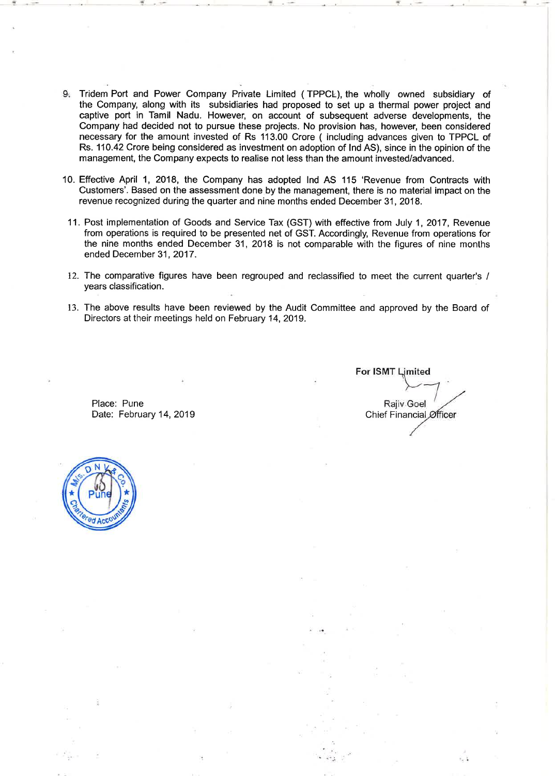- 9·. Tridem Port and Power Company Private Limited { TPPCL), the wholly owned subsidiary of the Company, along with its subsidiaries had proposed to set up a thermal power project and captive port in Tamil Nadu. However, on account of subsequent adverse developments, the Company had decided not to pursue these projects. No provision has, however, been considered necessary for the amount invested of Rs 113.00 Crore { including advances given to TPPCL of Rs. 110.42 Crore being considered as investment on adoption of lnd AS), since in the opinion of the management, the Company expects to realise not less than the amount invested/advanced.
- 10. Effective April 1, 2018, the Company has adopted lnd AS 115 'Revenue from Contracts with Customers'. Based on the assessment done by the management, there is no material impact on the revenue recognized during the quarter and nine months ended December 31, 2018.
- 11. Post implementation of Goods and Service Tax {GST) with effective from July 1, 2017, Revenue from operations is required to be presented net of GST. Accordingly, Revenue from operations for the nine months ended December 31, 2018 is not comparable with the figures of nine months ended December 31, 2017.
- 12. The comparative figures have been regrouped and reclassified to meet the current quarter's / years classification.
- 13. The above results have been reviewed by the Audit Committee and approved by the Board of Directors at their meetings held on February 14, 2019.

.. *...- :.* 

Place: Pune Date: February 14, 2019

For ISMT Limited **Rajiv Goel** ~ Chief Financial Øfficer

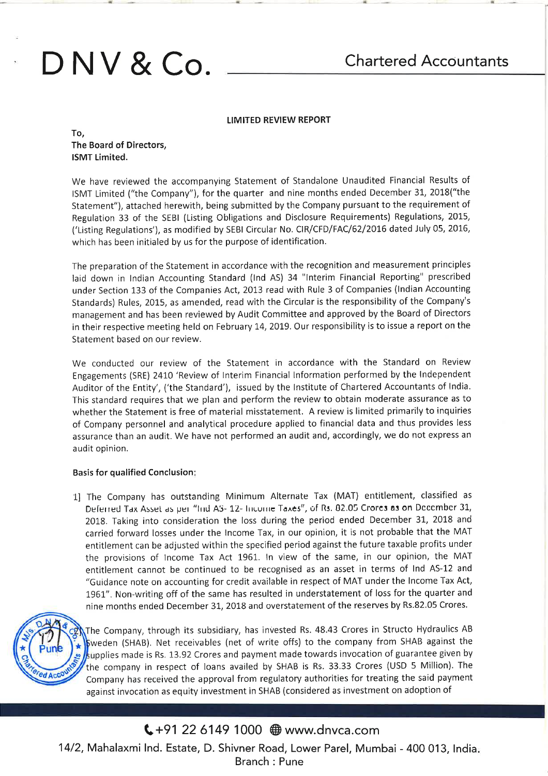# **D NV & Co.**

### LIMITED REVIEW REPORT

To, The Board of Directors, ISMT limited.

We have reviewed the accompanying Statement of Standalone Unaudited Financial Results of ISMT Limited ("the Company"), for the quarter and nine months ended December 31, 2018("the Statement"), attached herewith, being submitted by the Company pursuant to the requirement of Regulation 33 of the SEBI (Listing Obligations and Disclosure Requirements) Regulations, 2015, ('Listing Regulations'), as modified by SEBI Circular No. CIR/CFD/FAC/62/2016 dated July OS, 2016, which has been initialed by us for the purpose of identification.

The preparation of the Statement in accordance with the recognition and measurement principles laid down in Indian Accounting Standard (lnd AS} 34 "Interim Financial Reporting" prescribed under Section 133 of the Companies Act, 2013 read with Rule 3 of Companies (Indian Accounting Standards) Rules, 2015, as amended, read with the Circular is the responsibility of the Company's management and has been reviewed by Audit Committee and approved by the Board of Directors in their respective meeting held on February 14, 2019. Our responsibility is to issue a report on the Statement based on our review.

We conducted our review of the Statement in accordance with the Standard on Review Engagements (SRE) 2410 'Review of Interim Financial Information performed by the Independent Auditor of the Entity', ('the Standard'), issued by the Institute of Chartered Accountants of India. This standard requires that we plan and perform the review to obtain moderate assurance as to whether the Statement is free of material misstatement. A review is limited primarily to inquiries of Company personnel and analytical procedure applied to financial data and thus provides less assurance than an audit. We have not performed an audit and, accordingly, we do not express an audit opinion.

### Basis for qualified Conclusion:

1] The Company has outstanding Minimum Alternate Tax (MAT) entitlement, classified as Deferred Tax Asset as per "lind A3- 12- Income Taxes", of Rs. 82.05 Crores as on December 31, 2018. Taking into consideration the loss during the period ended December 31, 2018 and carried forward losses under the Income Tax, in our opinion, it is not probable that the MAT entitlement can be adjusted within the specified period against the future taxable profits under the provisions of Income Tax Act 1961. In view of the same, in our opinion, the MAT entitlement cannot be continued to be recognised as an asset in terms of lnd AS-12 and "Guidance note on accounting for credit available in respect of MAT under the Income Tax Act, 1961". Non-writing off of the same has resulted in understatement of loss for the quarter and nine months ended December 31, 2018 and overstatement of the reserves by Rs.82.05 Crores.



The Company, through its subsidiary, has invested Rs. 48.43 Crores in Structo Hydraulics AB Sweden (SHAB). Net receivables (net of write offs) to the company from SHAB against the  $\frac{1}{2}$  upplies made is Rs. 13.92 Crores and payment made towards invocation of guarantee given by the company in respect of loans availed by SHAB is Rs. 33.33 Crores (USD 5 Million). The Company has received the approval from regulatory authorities for treating the said payment against invocation as equity investment in SHAB (considered as investment on adoption of

# **C**+91 22 6149 1000 ⊕ www.dnvca.com

14/2, Mahalaxmi Ind. Estate, D. Shivner Road, Lower Parel, Mumbai- 400 013, India. Branch : Pune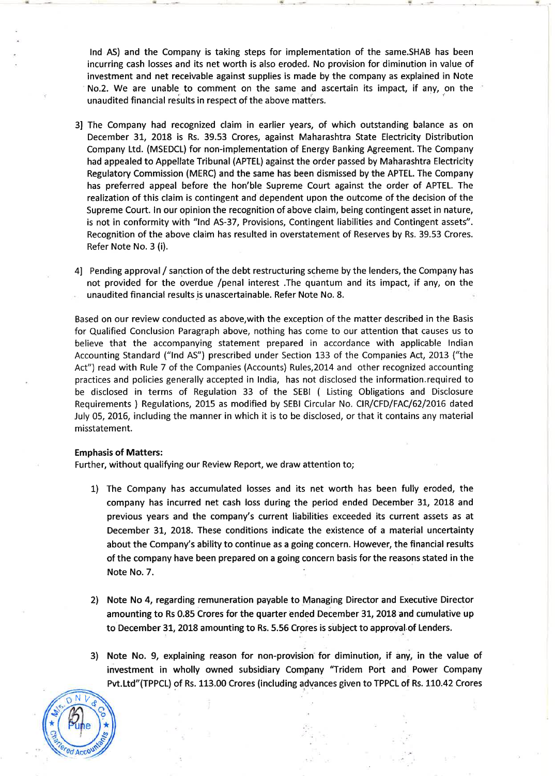lnd AS) and the Company is taking steps for implementation of the same.SHAB has been incurring cash losses and its net worth is also eroded. No provision for diminution in value of investment and net receivable against supplies is made by the company as explained in Note No.2. We are unable to comment on the same and ascertain its impact, if any, on the unaudited financial results in respect of the above matters.

- 3] The Company had recognized claim in earlier years, of which outstanding balance as on December 31, 2018 is Rs. 39.53 Crores, against Maharashtra State Electricity Distribution Company Ltd. (MSEDCL) for non-implementation of Energy Banking Agreement. The Company had appealed to Appellate Tribunal (APTEL) against the order passed by Maharashtra Electricity Regulatory Commission (MERC) and the same has been dismissed by the APTEL. The Company has preferred appeal before the hon'ble Supreme Court against the order of APTEL. The realization of this claim is contingent and dependent upon the outcome of the decision of the Supreme Court. In our opinion the recognition of above claim, being contingent asset in nature, is not in conformity with "lnd AS-37, Provisions, Contingent liabilities and Contingent assets". Recognition of the above claim has resulted in overstatement of Reserves by Rs. 39.53 Crores. Refer Note No. 3 (i).
- 4] Pending approval / sanction of the debt restructuring scheme by the lenders, the Company has not provided for the overdue /penal interest .The quantum and its impact, if any, on the unaudited financial results is unascertainable. Refer Note No. 8.

Based on our review conducted as above, with the exception of the matter described in the Basis for Qualified Conclusion Paragraph above, nothing has come to our attention that causes us to believe that the accompanying statement prepared in accordance with applicable Indian Accounting Standard ("lnd AS") prescribed under Section 133 of the Companies Act, 2013 ("the Act") read with Rule 7 of the Companies (Accounts) Rules,2014 and other recognized accounting practices and policies generally accepted in India, has not disclosed the information.required to be disclosed in terms of Regulation 33 of the SEBI ( Listing Obligations and Disclosure Requirements ) Regulations, 2015 as modified by SEBI Circular No. CIR/CFD/FAC/62/2016 dated July 05, 2016, including the manner in which it is to be disclosed, or that it contains any material misstatement.

### Emphasis of Matters:

Further, without qualifying our Review Report, we draw attention to;

- 1) The Company has accumulated losses and its net worth has been fully eroded, the company has incurred net cash loss during the period ended December 31, 2018 and previous years and the company's current liabilities exceeded its current assets as at December 31, 2018. These conditions indicate the existence of a material uncertainty about the Company's ability to continue as a going concern. However, the financial results of the company have been prepared on a going concern basis for the reasons stated in the Note No.7.
- 2) Note No 4, regarding remuneration payable to Managing Director and Executive Director amounting to Rs 0.85 Crores for the quarter ended December 31, 2018 and cumulative up to December 31, 2018 amounting to Rs. 5.56 Crores is subject to approval of Lenders.
- 3) Note No. 9, explaining reason for non-provision for diminution, if any, in the value of investment in wholly owned subsidiary Company "Tridem Port and Power Company Pvt.Ltd"(TPPCL) of Rs. 113.00 Crores (including advances given to TPPCL of Rs. 110.42 Crores